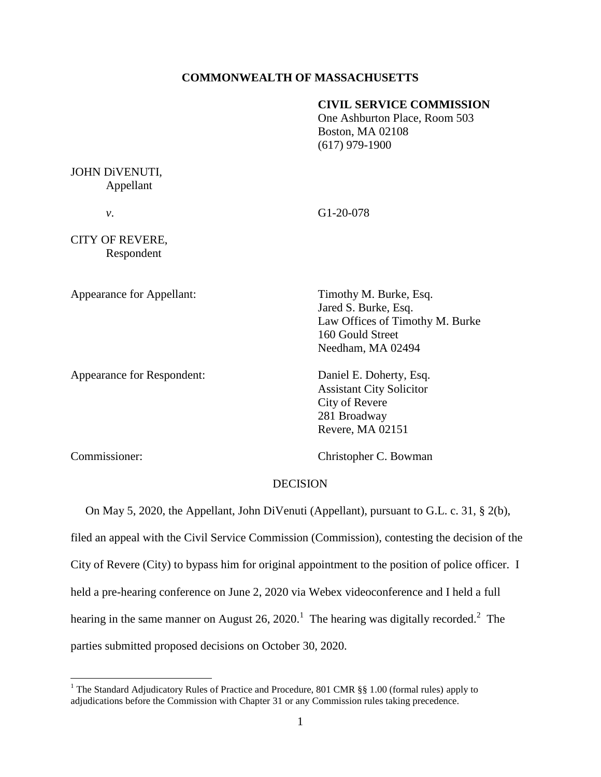## **COMMONWEALTH OF MASSACHUSETTS**

## **CIVIL SERVICE COMMISSION**

One Ashburton Place, Room 503 Boston, MA 02108 (617) 979-1900

## JOHN DiVENUTI, Appellant

*v*. G1-20-078

CITY OF REVERE, Respondent

Appearance for Respondent: Daniel E. Doherty, Esq.

Appearance for Appellant: Timothy M. Burke, Esq. Jared S. Burke, Esq. Law Offices of Timothy M. Burke 160 Gould Street Needham, MA 02494

> Assistant City Solicitor City of Revere 281 Broadway Revere, MA 02151

 $\overline{a}$ 

Commissioner: Christopher C. Bowman

## **DECISION**

On May 5, 2020, the Appellant, John DiVenuti (Appellant), pursuant to G.L. c. 31, § 2(b),

filed an appeal with the Civil Service Commission (Commission), contesting the decision of the City of Revere (City) to bypass him for original appointment to the position of police officer. I held a pre-hearing conference on June 2, 2020 via Webex videoconference and I held a full hearing in the same manner on August 26, 2020.<sup>1</sup> The hearing was digitally recorded.<sup>2</sup> The parties submitted proposed decisions on October 30, 2020.

<sup>&</sup>lt;sup>1</sup> The Standard Adjudicatory Rules of Practice and Procedure, 801 CMR §§ 1.00 (formal rules) apply to adjudications before the Commission with Chapter 31 or any Commission rules taking precedence.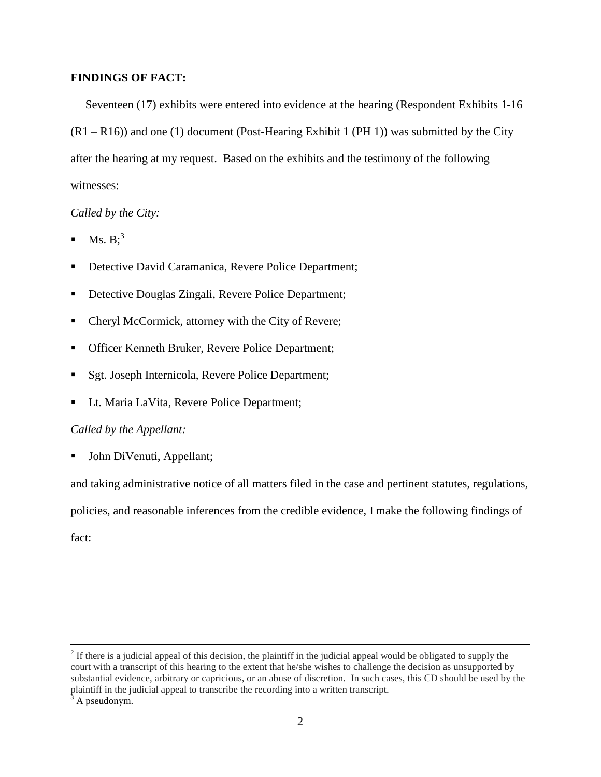# **FINDINGS OF FACT:**

Seventeen (17) exhibits were entered into evidence at the hearing (Respondent Exhibits 1-16  $(R1 - R16)$ ) and one (1) document (Post-Hearing Exhibit 1 (PH 1)) was submitted by the City after the hearing at my request. Based on the exhibits and the testimony of the following witnesses:

## *Called by the City:*

- $\blacksquare$  Ms. B;<sup>3</sup>
- Detective David Caramanica, Revere Police Department;
- Detective Douglas Zingali, Revere Police Department;
- Cheryl McCormick, attorney with the City of Revere;
- **Officer Kenneth Bruker, Revere Police Department;**
- Sgt. Joseph Internicola, Revere Police Department;
- Lt. Maria LaVita, Revere Police Department;

#### *Called by the Appellant:*

• John DiVenuti, Appellant;

and taking administrative notice of all matters filed in the case and pertinent statutes, regulations,

policies, and reasonable inferences from the credible evidence, I make the following findings of

fact:

 $2<sup>2</sup>$  If there is a judicial appeal of this decision, the plaintiff in the judicial appeal would be obligated to supply the court with a transcript of this hearing to the extent that he/she wishes to challenge the decision as unsupported by substantial evidence, arbitrary or capricious, or an abuse of discretion. In such cases, this CD should be used by the plaintiff in the judicial appeal to transcribe the recording into a written transcript.

 $3$  A pseudonym.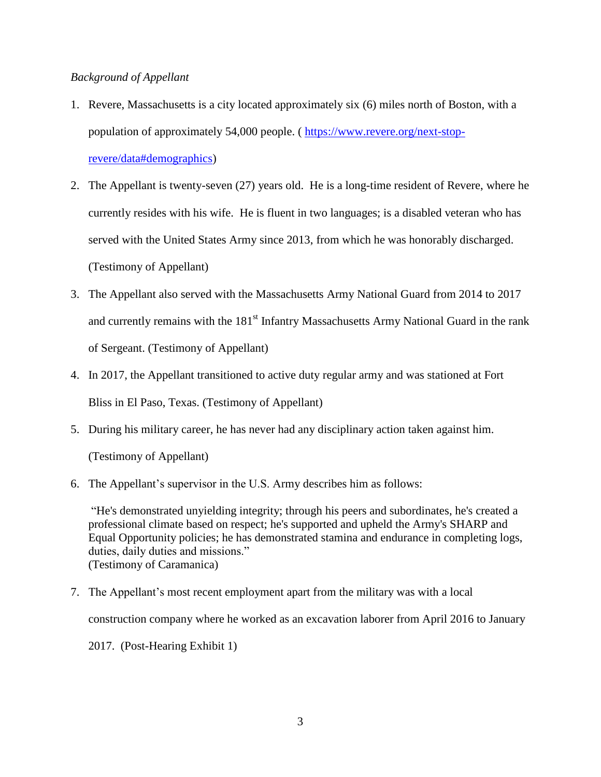## *Background of Appellant*

- 1. Revere, Massachusetts is a city located approximately six (6) miles north of Boston, with a population of approximately 54,000 people. ( [https://www.revere.org/next-stop](https://www.revere.org/next-stop-revere/data#demographics)[revere/data#demographics\)](https://www.revere.org/next-stop-revere/data#demographics)
- 2. The Appellant is twenty-seven (27) years old. He is a long-time resident of Revere, where he currently resides with his wife. He is fluent in two languages; is a disabled veteran who has served with the United States Army since 2013, from which he was honorably discharged. (Testimony of Appellant)
- 3. The Appellant also served with the Massachusetts Army National Guard from 2014 to 2017 and currently remains with the 181<sup>st</sup> Infantry Massachusetts Army National Guard in the rank of Sergeant. (Testimony of Appellant)
- 4. In 2017, the Appellant transitioned to active duty regular army and was stationed at Fort Bliss in El Paso, Texas. (Testimony of Appellant)
- 5. During his military career, he has never had any disciplinary action taken against him.

(Testimony of Appellant)

6. The Appellant's supervisor in the U.S. Army describes him as follows:

"He's demonstrated unyielding integrity; through his peers and subordinates, he's created a professional climate based on respect; he's supported and upheld the Army's SHARP and Equal Opportunity policies; he has demonstrated stamina and endurance in completing logs, duties, daily duties and missions." (Testimony of Caramanica)

7. The Appellant's most recent employment apart from the military was with a local

construction company where he worked as an excavation laborer from April 2016 to January

2017. (Post-Hearing Exhibit 1)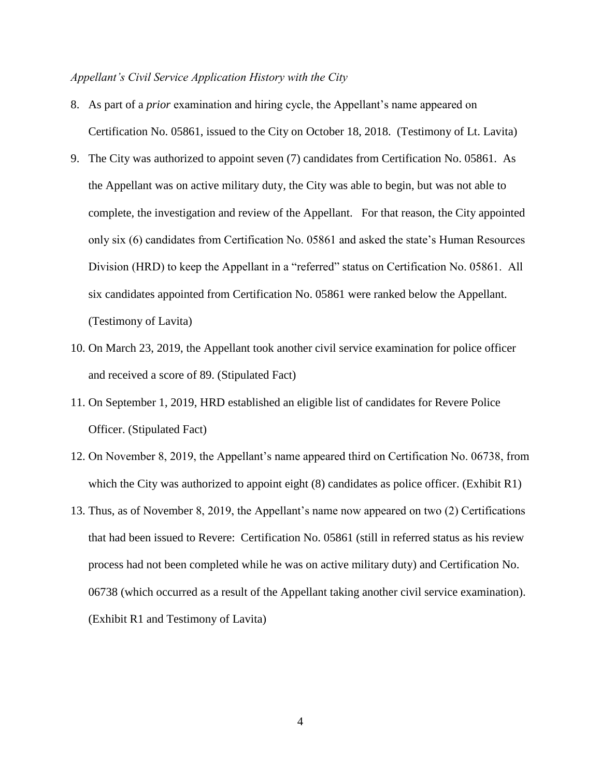#### *Appellant's Civil Service Application History with the City*

- 8. As part of a *prior* examination and hiring cycle, the Appellant's name appeared on Certification No. 05861, issued to the City on October 18, 2018. (Testimony of Lt. Lavita)
- 9. The City was authorized to appoint seven (7) candidates from Certification No. 05861. As the Appellant was on active military duty, the City was able to begin, but was not able to complete, the investigation and review of the Appellant. For that reason, the City appointed only six (6) candidates from Certification No. 05861 and asked the state's Human Resources Division (HRD) to keep the Appellant in a "referred" status on Certification No. 05861. All six candidates appointed from Certification No. 05861 were ranked below the Appellant. (Testimony of Lavita)
- 10. On March 23, 2019, the Appellant took another civil service examination for police officer and received a score of 89. (Stipulated Fact)
- 11. On September 1, 2019, HRD established an eligible list of candidates for Revere Police Officer. (Stipulated Fact)
- 12. On November 8, 2019, the Appellant's name appeared third on Certification No. 06738, from which the City was authorized to appoint eight (8) candidates as police officer. (Exhibit R1)
- 13. Thus, as of November 8, 2019, the Appellant's name now appeared on two (2) Certifications that had been issued to Revere: Certification No. 05861 (still in referred status as his review process had not been completed while he was on active military duty) and Certification No. 06738 (which occurred as a result of the Appellant taking another civil service examination). (Exhibit R1 and Testimony of Lavita)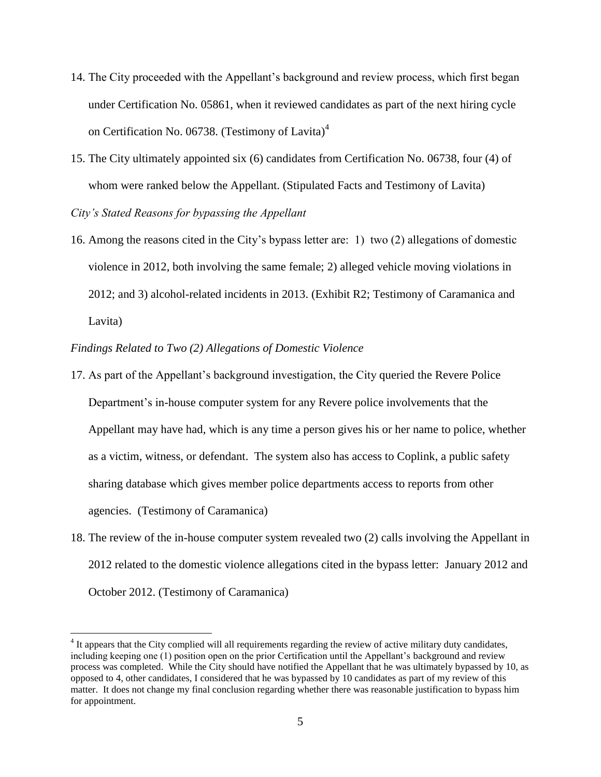- 14. The City proceeded with the Appellant's background and review process, which first began under Certification No. 05861, when it reviewed candidates as part of the next hiring cycle on Certification No. 06738. (Testimony of Lavita)<sup>4</sup>
- 15. The City ultimately appointed six (6) candidates from Certification No. 06738, four (4) of whom were ranked below the Appellant. (Stipulated Facts and Testimony of Lavita) *City's Stated Reasons for bypassing the Appellant*
- 16. Among the reasons cited in the City's bypass letter are: 1) two (2) allegations of domestic violence in 2012, both involving the same female; 2) alleged vehicle moving violations in 2012; and 3) alcohol-related incidents in 2013. (Exhibit R2; Testimony of Caramanica and Lavita)
- *Findings Related to Two (2) Allegations of Domestic Violence*

 $\overline{a}$ 

- 17. As part of the Appellant's background investigation, the City queried the Revere Police Department's in-house computer system for any Revere police involvements that the Appellant may have had, which is any time a person gives his or her name to police, whether as a victim, witness, or defendant. The system also has access to Coplink, a public safety sharing database which gives member police departments access to reports from other agencies. (Testimony of Caramanica)
- 18. The review of the in-house computer system revealed two (2) calls involving the Appellant in 2012 related to the domestic violence allegations cited in the bypass letter: January 2012 and October 2012. (Testimony of Caramanica)

<sup>&</sup>lt;sup>4</sup> It appears that the City complied will all requirements regarding the review of active military duty candidates, including keeping one (1) position open on the prior Certification until the Appellant's background and review process was completed. While the City should have notified the Appellant that he was ultimately bypassed by 10, as opposed to 4, other candidates, I considered that he was bypassed by 10 candidates as part of my review of this matter. It does not change my final conclusion regarding whether there was reasonable justification to bypass him for appointment.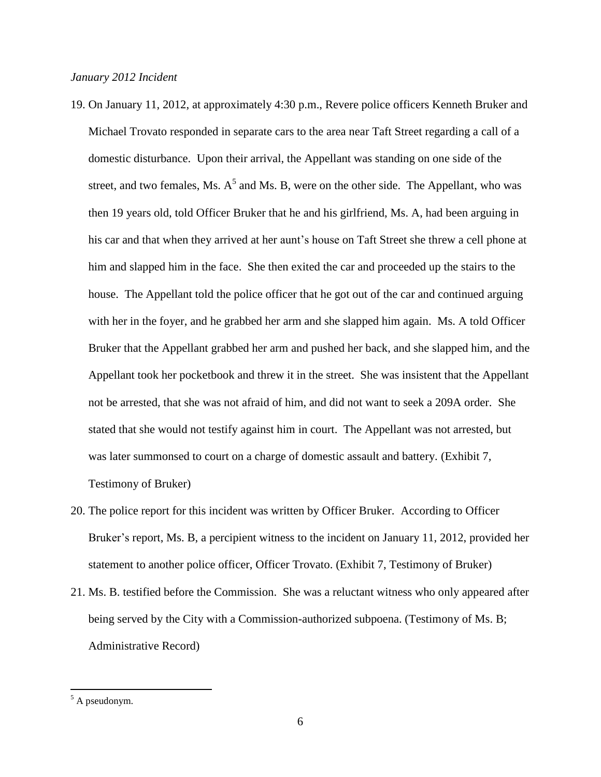- 19. On January 11, 2012, at approximately 4:30 p.m., Revere police officers Kenneth Bruker and Michael Trovato responded in separate cars to the area near Taft Street regarding a call of a domestic disturbance. Upon their arrival, the Appellant was standing on one side of the street, and two females, Ms.  $A<sup>5</sup>$  and Ms. B, were on the other side. The Appellant, who was then 19 years old, told Officer Bruker that he and his girlfriend, Ms. A, had been arguing in his car and that when they arrived at her aunt's house on Taft Street she threw a cell phone at him and slapped him in the face. She then exited the car and proceeded up the stairs to the house. The Appellant told the police officer that he got out of the car and continued arguing with her in the foyer, and he grabbed her arm and she slapped him again. Ms. A told Officer Bruker that the Appellant grabbed her arm and pushed her back, and she slapped him, and the Appellant took her pocketbook and threw it in the street. She was insistent that the Appellant not be arrested, that she was not afraid of him, and did not want to seek a 209A order. She stated that she would not testify against him in court. The Appellant was not arrested, but was later summonsed to court on a charge of domestic assault and battery. (Exhibit 7, Testimony of Bruker)
- 20. The police report for this incident was written by Officer Bruker. According to Officer Bruker's report, Ms. B, a percipient witness to the incident on January 11, 2012, provided her statement to another police officer, Officer Trovato. (Exhibit 7, Testimony of Bruker)
- 21. Ms. B. testified before the Commission. She was a reluctant witness who only appeared after being served by the City with a Commission-authorized subpoena. (Testimony of Ms. B; Administrative Record)

 $\overline{a}$ 

 $5$  A pseudonym.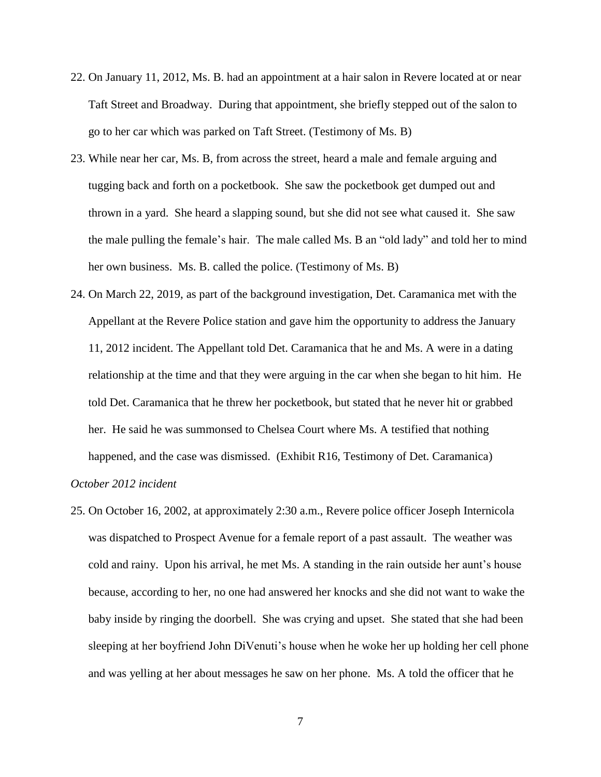- 22. On January 11, 2012, Ms. B. had an appointment at a hair salon in Revere located at or near Taft Street and Broadway. During that appointment, she briefly stepped out of the salon to go to her car which was parked on Taft Street. (Testimony of Ms. B)
- 23. While near her car, Ms. B, from across the street, heard a male and female arguing and tugging back and forth on a pocketbook. She saw the pocketbook get dumped out and thrown in a yard. She heard a slapping sound, but she did not see what caused it. She saw the male pulling the female's hair. The male called Ms. B an "old lady" and told her to mind her own business. Ms. B. called the police. (Testimony of Ms. B)
- 24. On March 22, 2019, as part of the background investigation, Det. Caramanica met with the Appellant at the Revere Police station and gave him the opportunity to address the January 11, 2012 incident. The Appellant told Det. Caramanica that he and Ms. A were in a dating relationship at the time and that they were arguing in the car when she began to hit him. He told Det. Caramanica that he threw her pocketbook, but stated that he never hit or grabbed her. He said he was summonsed to Chelsea Court where Ms. A testified that nothing happened, and the case was dismissed. (Exhibit R16, Testimony of Det. Caramanica) *October 2012 incident*
- 25. On October 16, 2002, at approximately 2:30 a.m., Revere police officer Joseph Internicola was dispatched to Prospect Avenue for a female report of a past assault. The weather was cold and rainy. Upon his arrival, he met Ms. A standing in the rain outside her aunt's house because, according to her, no one had answered her knocks and she did not want to wake the baby inside by ringing the doorbell. She was crying and upset. She stated that she had been sleeping at her boyfriend John DiVenuti's house when he woke her up holding her cell phone and was yelling at her about messages he saw on her phone. Ms. A told the officer that he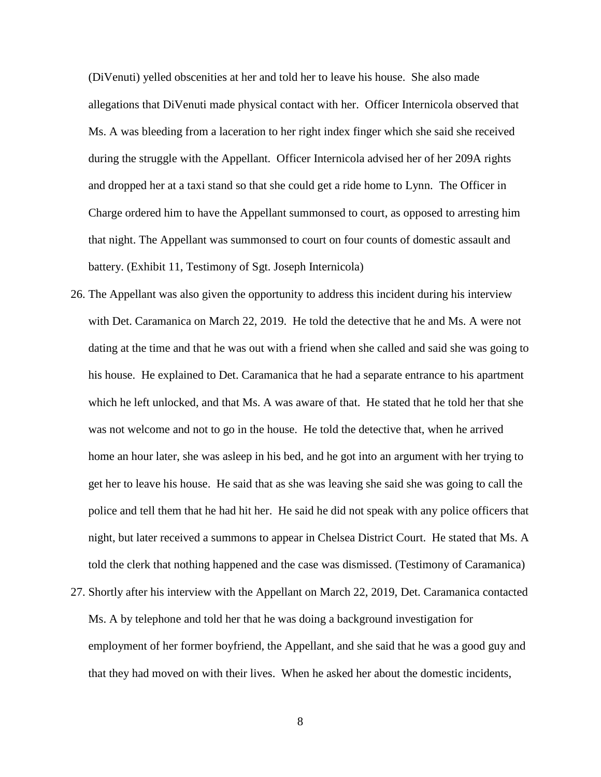(DiVenuti) yelled obscenities at her and told her to leave his house. She also made allegations that DiVenuti made physical contact with her. Officer Internicola observed that Ms. A was bleeding from a laceration to her right index finger which she said she received during the struggle with the Appellant. Officer Internicola advised her of her 209A rights and dropped her at a taxi stand so that she could get a ride home to Lynn. The Officer in Charge ordered him to have the Appellant summonsed to court, as opposed to arresting him that night. The Appellant was summonsed to court on four counts of domestic assault and battery. (Exhibit 11, Testimony of Sgt. Joseph Internicola)

- 26. The Appellant was also given the opportunity to address this incident during his interview with Det. Caramanica on March 22, 2019. He told the detective that he and Ms. A were not dating at the time and that he was out with a friend when she called and said she was going to his house. He explained to Det. Caramanica that he had a separate entrance to his apartment which he left unlocked, and that Ms. A was aware of that. He stated that he told her that she was not welcome and not to go in the house. He told the detective that, when he arrived home an hour later, she was asleep in his bed, and he got into an argument with her trying to get her to leave his house. He said that as she was leaving she said she was going to call the police and tell them that he had hit her. He said he did not speak with any police officers that night, but later received a summons to appear in Chelsea District Court. He stated that Ms. A told the clerk that nothing happened and the case was dismissed. (Testimony of Caramanica)
- 27. Shortly after his interview with the Appellant on March 22, 2019, Det. Caramanica contacted Ms. A by telephone and told her that he was doing a background investigation for employment of her former boyfriend, the Appellant, and she said that he was a good guy and that they had moved on with their lives. When he asked her about the domestic incidents,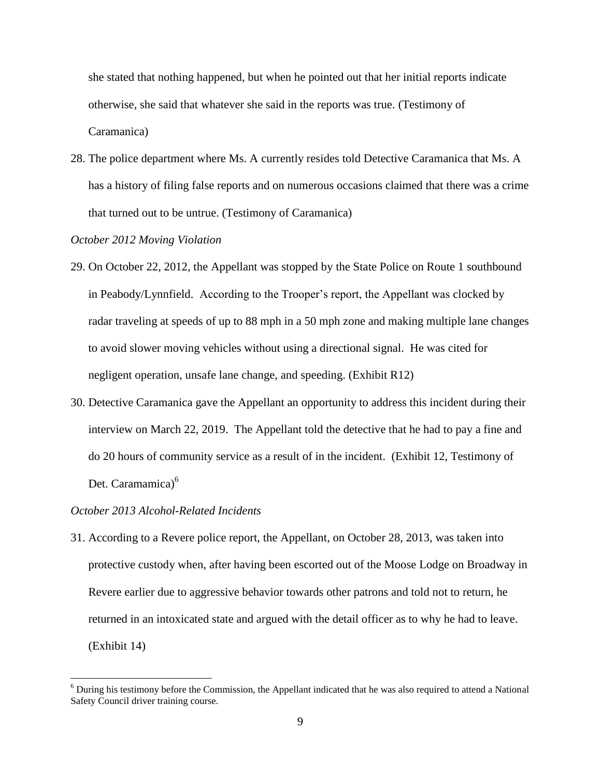she stated that nothing happened, but when he pointed out that her initial reports indicate otherwise, she said that whatever she said in the reports was true. (Testimony of Caramanica)

28. The police department where Ms. A currently resides told Detective Caramanica that Ms. A has a history of filing false reports and on numerous occasions claimed that there was a crime that turned out to be untrue. (Testimony of Caramanica)

## *October 2012 Moving Violation*

- 29. On October 22, 2012, the Appellant was stopped by the State Police on Route 1 southbound in Peabody/Lynnfield. According to the Trooper's report, the Appellant was clocked by radar traveling at speeds of up to 88 mph in a 50 mph zone and making multiple lane changes to avoid slower moving vehicles without using a directional signal. He was cited for negligent operation, unsafe lane change, and speeding. (Exhibit R12)
- 30. Detective Caramanica gave the Appellant an opportunity to address this incident during their interview on March 22, 2019. The Appellant told the detective that he had to pay a fine and do 20 hours of community service as a result of in the incident. (Exhibit 12, Testimony of Det. Caramamica)<sup>6</sup>

#### *October 2013 Alcohol-Related Incidents*

 $\overline{a}$ 

31. According to a Revere police report, the Appellant, on October 28, 2013, was taken into protective custody when, after having been escorted out of the Moose Lodge on Broadway in Revere earlier due to aggressive behavior towards other patrons and told not to return, he returned in an intoxicated state and argued with the detail officer as to why he had to leave. (Exhibit 14)

 $6$  During his testimony before the Commission, the Appellant indicated that he was also required to attend a National Safety Council driver training course.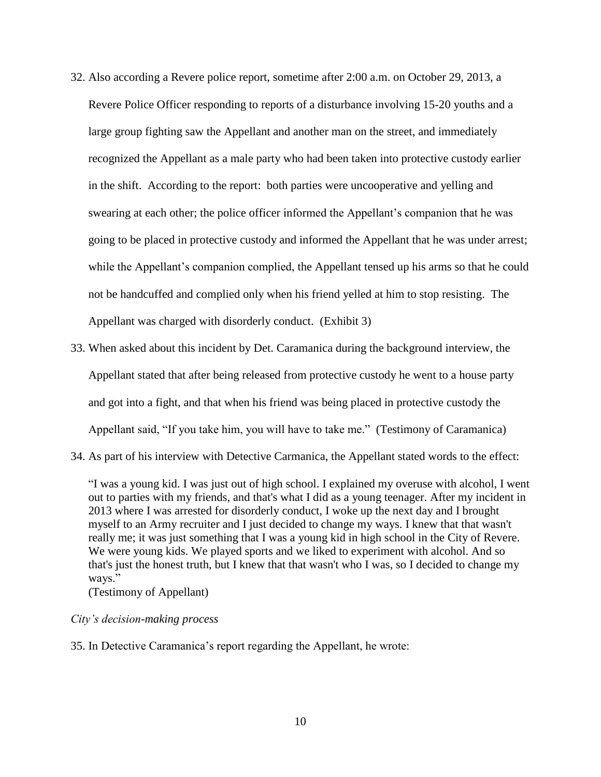- 32. Also according a Revere police report, sometime after 2:00 a.m. on October 29, 2013, a Revere Police Officer responding to reports of a disturbance involving 15-20 youths and a large group fighting saw the Appellant and another man on the street, and immediately recognized the Appellant as a male party who had been taken into protective custody earlier in the shift. According to the report: both parties were uncooperative and yelling and swearing at each other; the police officer informed the Appellant's companion that he was going to be placed in protective custody and informed the Appellant that he was under arrest; while the Appellant's companion complied, the Appellant tensed up his arms so that he could not be handcuffed and complied only when his friend yelled at him to stop resisting. The Appellant was charged with disorderly conduct. (Exhibit 3)
- 33. When asked about this incident by Det. Caramanica during the background interview, the Appellant stated that after being released from protective custody he went to a house party and got into a fight, and that when his friend was being placed in protective custody the Appellant said, "If you take him, you will have to take me." (Testimony of Caramanica)
- 34. As part of his interview with Detective Carmanica, the Appellant stated words to the effect:

"I was a young kid. I was just out of high school. I explained my overuse with alcohol, I went out to parties with my friends, and that's what I did as a young teenager. After my incident in 2013 where I was arrested for disorderly conduct, I woke up the next day and I brought myself to an Army recruiter and I just decided to change my ways. I knew that that wasn't really me; it was just something that I was a young kid in high school in the City of Revere. We were young kids. We played sports and we liked to experiment with alcohol. And so that's just the honest truth, but I knew that that wasn't who I was, so I decided to change my ways."

(Testimony of Appellant)

## *City's decision-making process*

35. In Detective Caramanica's report regarding the Appellant, he wrote: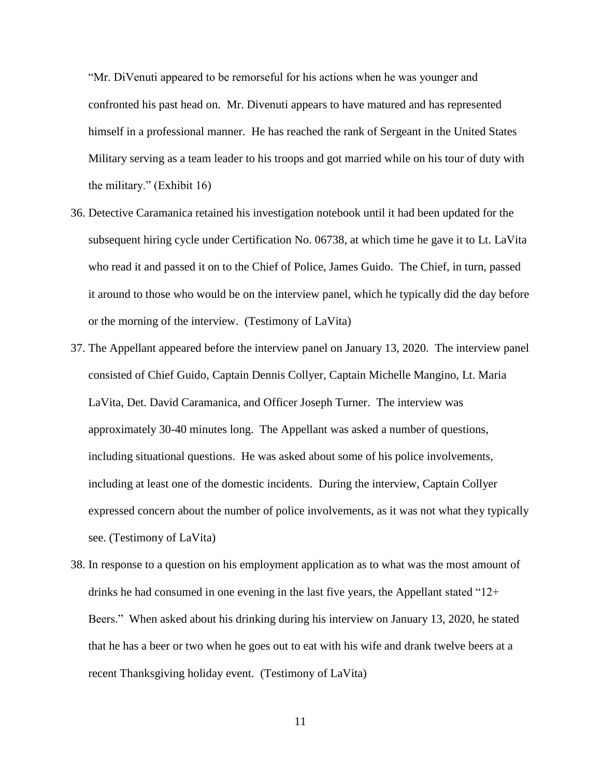"Mr. DiVenuti appeared to be remorseful for his actions when he was younger and confronted his past head on. Mr. Divenuti appears to have matured and has represented himself in a professional manner. He has reached the rank of Sergeant in the United States Military serving as a team leader to his troops and got married while on his tour of duty with the military." (Exhibit 16)

- 36. Detective Caramanica retained his investigation notebook until it had been updated for the subsequent hiring cycle under Certification No. 06738, at which time he gave it to Lt. LaVita who read it and passed it on to the Chief of Police, James Guido. The Chief, in turn, passed it around to those who would be on the interview panel, which he typically did the day before or the morning of the interview. (Testimony of LaVita)
- 37. The Appellant appeared before the interview panel on January 13, 2020. The interview panel consisted of Chief Guido, Captain Dennis Collyer, Captain Michelle Mangino, Lt. Maria LaVita, Det. David Caramanica, and Officer Joseph Turner. The interview was approximately 30-40 minutes long. The Appellant was asked a number of questions, including situational questions. He was asked about some of his police involvements, including at least one of the domestic incidents. During the interview, Captain Collyer expressed concern about the number of police involvements, as it was not what they typically see. (Testimony of LaVita)
- 38. In response to a question on his employment application as to what was the most amount of drinks he had consumed in one evening in the last five years, the Appellant stated "12+ Beers." When asked about his drinking during his interview on January 13, 2020, he stated that he has a beer or two when he goes out to eat with his wife and drank twelve beers at a recent Thanksgiving holiday event. (Testimony of LaVita)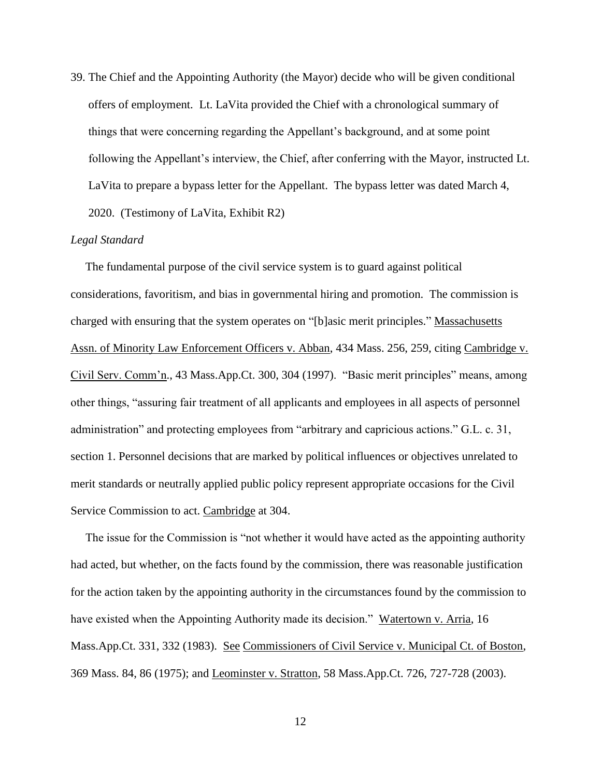39. The Chief and the Appointing Authority (the Mayor) decide who will be given conditional offers of employment. Lt. LaVita provided the Chief with a chronological summary of things that were concerning regarding the Appellant's background, and at some point following the Appellant's interview, the Chief, after conferring with the Mayor, instructed Lt. LaVita to prepare a bypass letter for the Appellant. The bypass letter was dated March 4, 2020. (Testimony of LaVita, Exhibit R2)

### *Legal Standard*

 The fundamental purpose of the civil service system is to guard against political considerations, favoritism, and bias in governmental hiring and promotion. The commission is charged with ensuring that the system operates on "[b]asic merit principles." Massachusetts Assn. of Minority Law Enforcement Officers v. Abban, 434 Mass. 256, 259, citing Cambridge v. Civil Serv. Comm'n., 43 Mass.App.Ct. 300, 304 (1997). "Basic merit principles" means, among other things, "assuring fair treatment of all applicants and employees in all aspects of personnel administration" and protecting employees from "arbitrary and capricious actions." G.L. c. 31, section 1. Personnel decisions that are marked by political influences or objectives unrelated to merit standards or neutrally applied public policy represent appropriate occasions for the Civil Service Commission to act. Cambridge at 304.

 The issue for the Commission is "not whether it would have acted as the appointing authority had acted, but whether, on the facts found by the commission, there was reasonable justification for the action taken by the appointing authority in the circumstances found by the commission to have existed when the Appointing Authority made its decision." Watertown v. Arria, 16 Mass.App.Ct. 331, 332 (1983). See Commissioners of Civil Service v. Municipal Ct. of Boston, 369 Mass. 84, 86 (1975); and Leominster v. Stratton, 58 Mass.App.Ct. 726, 727-728 (2003).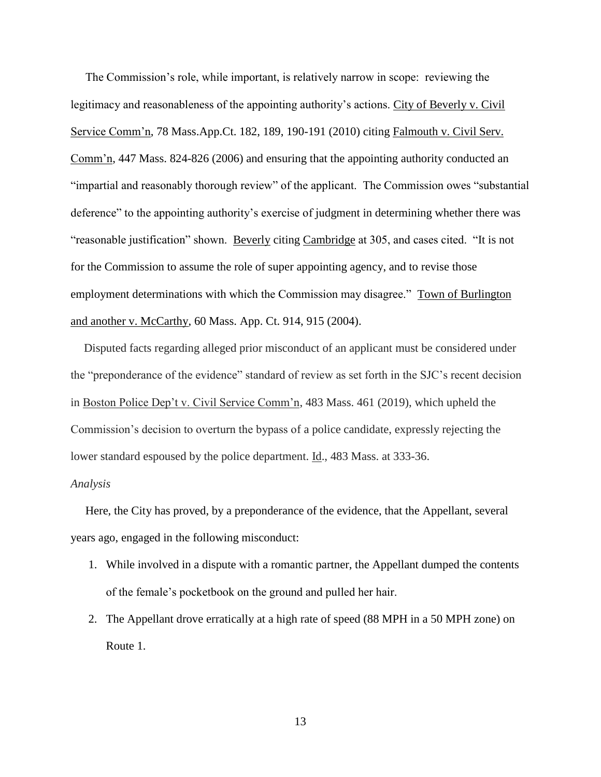The Commission's role, while important, is relatively narrow in scope: reviewing the legitimacy and reasonableness of the appointing authority's actions. City of Beverly v. Civil Service Comm'n, 78 Mass.App.Ct. 182, 189, 190-191 (2010) citing Falmouth v. Civil Serv. Comm'n, 447 Mass. 824-826 (2006) and ensuring that the appointing authority conducted an "impartial and reasonably thorough review" of the applicant. The Commission owes "substantial deference" to the appointing authority's exercise of judgment in determining whether there was "reasonable justification" shown. Beverly citing Cambridge at 305, and cases cited. "It is not for the Commission to assume the role of super appointing agency, and to revise those employment determinations with which the Commission may disagree." Town of Burlington and another v. McCarthy, 60 Mass. App. Ct. 914, 915 (2004).

Disputed facts regarding alleged prior misconduct of an applicant must be considered under the "preponderance of the evidence" standard of review as set forth in the SJC's recent decision in Boston Police Dep't v. Civil Service Comm'n, 483 Mass. 461 (2019), which upheld the Commission's decision to overturn the bypass of a police candidate, expressly rejecting the lower standard espoused by the police department. Id., 483 Mass. at 333-36.

## *Analysis*

 Here, the City has proved, by a preponderance of the evidence, that the Appellant, several years ago, engaged in the following misconduct:

- 1. While involved in a dispute with a romantic partner, the Appellant dumped the contents of the female's pocketbook on the ground and pulled her hair.
- 2. The Appellant drove erratically at a high rate of speed (88 MPH in a 50 MPH zone) on Route 1.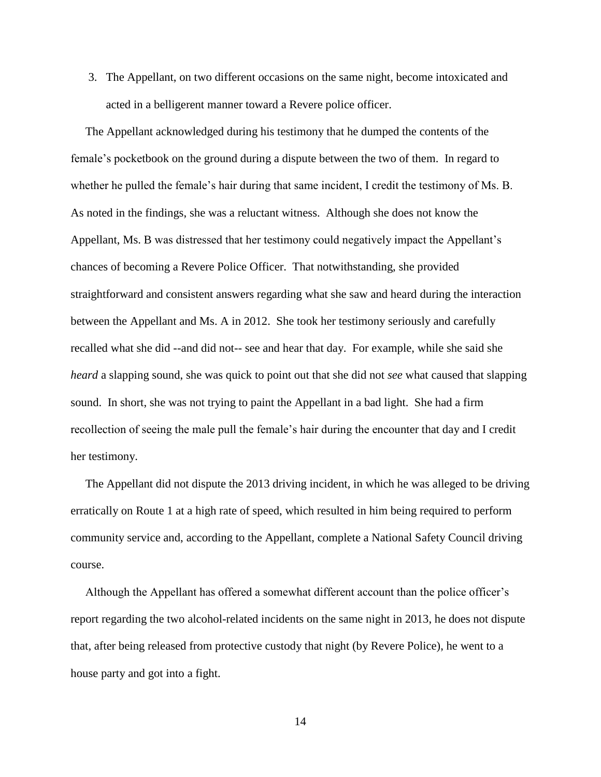3. The Appellant, on two different occasions on the same night, become intoxicated and acted in a belligerent manner toward a Revere police officer.

 The Appellant acknowledged during his testimony that he dumped the contents of the female's pocketbook on the ground during a dispute between the two of them. In regard to whether he pulled the female's hair during that same incident, I credit the testimony of Ms. B. As noted in the findings, she was a reluctant witness. Although she does not know the Appellant, Ms. B was distressed that her testimony could negatively impact the Appellant's chances of becoming a Revere Police Officer. That notwithstanding, she provided straightforward and consistent answers regarding what she saw and heard during the interaction between the Appellant and Ms. A in 2012. She took her testimony seriously and carefully recalled what she did --and did not-- see and hear that day. For example, while she said she *heard* a slapping sound, she was quick to point out that she did not *see* what caused that slapping sound. In short, she was not trying to paint the Appellant in a bad light. She had a firm recollection of seeing the male pull the female's hair during the encounter that day and I credit her testimony.

 The Appellant did not dispute the 2013 driving incident, in which he was alleged to be driving erratically on Route 1 at a high rate of speed, which resulted in him being required to perform community service and, according to the Appellant, complete a National Safety Council driving course.

 Although the Appellant has offered a somewhat different account than the police officer's report regarding the two alcohol-related incidents on the same night in 2013, he does not dispute that, after being released from protective custody that night (by Revere Police), he went to a house party and got into a fight.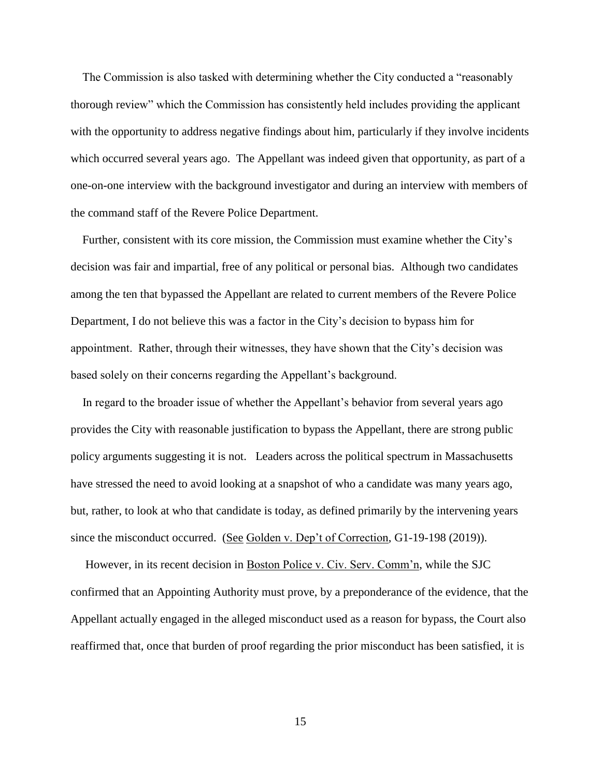The Commission is also tasked with determining whether the City conducted a "reasonably thorough review" which the Commission has consistently held includes providing the applicant with the opportunity to address negative findings about him, particularly if they involve incidents which occurred several years ago. The Appellant was indeed given that opportunity, as part of a one-on-one interview with the background investigator and during an interview with members of the command staff of the Revere Police Department.

 Further, consistent with its core mission, the Commission must examine whether the City's decision was fair and impartial, free of any political or personal bias. Although two candidates among the ten that bypassed the Appellant are related to current members of the Revere Police Department, I do not believe this was a factor in the City's decision to bypass him for appointment. Rather, through their witnesses, they have shown that the City's decision was based solely on their concerns regarding the Appellant's background.

In regard to the broader issue of whether the Appellant's behavior from several years ago provides the City with reasonable justification to bypass the Appellant, there are strong public policy arguments suggesting it is not. Leaders across the political spectrum in Massachusetts have stressed the need to avoid looking at a snapshot of who a candidate was many years ago, but, rather, to look at who that candidate is today, as defined primarily by the intervening years since the misconduct occurred. (See Golden v. Dep't of Correction, G1-19-198 (2019)).

 However, in its recent decision in Boston Police v. Civ. Serv. Comm'n, while the SJC confirmed that an Appointing Authority must prove, by a preponderance of the evidence*,* that the Appellant actually engaged in the alleged misconduct used as a reason for bypass, the Court also reaffirmed that, once that burden of proof regarding the prior misconduct has been satisfied, it is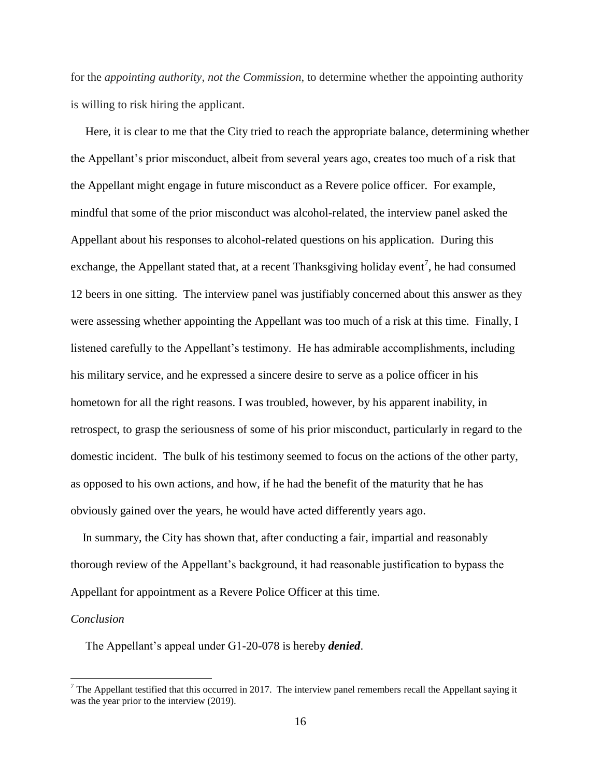for the *appointing authority*, *not the Commission*, to determine whether the appointing authority is willing to risk hiring the applicant.

 Here, it is clear to me that the City tried to reach the appropriate balance, determining whether the Appellant's prior misconduct, albeit from several years ago, creates too much of a risk that the Appellant might engage in future misconduct as a Revere police officer. For example, mindful that some of the prior misconduct was alcohol-related, the interview panel asked the Appellant about his responses to alcohol-related questions on his application. During this exchange, the Appellant stated that, at a recent Thanksgiving holiday event<sup>7</sup>, he had consumed 12 beers in one sitting. The interview panel was justifiably concerned about this answer as they were assessing whether appointing the Appellant was too much of a risk at this time. Finally, I listened carefully to the Appellant's testimony. He has admirable accomplishments, including his military service, and he expressed a sincere desire to serve as a police officer in his hometown for all the right reasons. I was troubled, however, by his apparent inability, in retrospect, to grasp the seriousness of some of his prior misconduct, particularly in regard to the domestic incident. The bulk of his testimony seemed to focus on the actions of the other party, as opposed to his own actions, and how, if he had the benefit of the maturity that he has obviously gained over the years, he would have acted differently years ago.

 In summary, the City has shown that, after conducting a fair, impartial and reasonably thorough review of the Appellant's background, it had reasonable justification to bypass the Appellant for appointment as a Revere Police Officer at this time.

#### *Conclusion*

 $\overline{a}$ 

The Appellant's appeal under G1-20-078 is hereby *denied*.

 $<sup>7</sup>$  The Appellant testified that this occurred in 2017. The interview panel remembers recall the Appellant saying it</sup> was the year prior to the interview (2019).